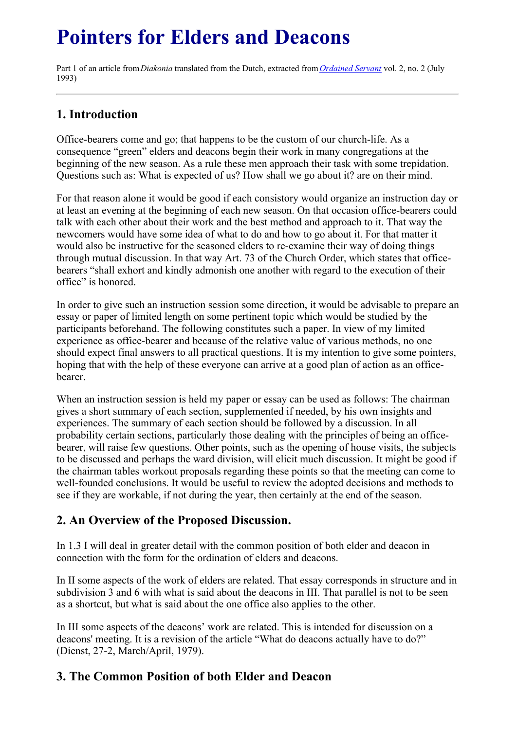# **Pointers for Elders and Deacons**

Part 1 of an article from*Diakonia* translated from the Dutch, extracted from *[Ordained](../../Ordained_servant.html) Servant* vol. 2, no. 2 (July 1993)

# **1. Introduction**

Office-bearers come and go; that happens to be the custom of our church-life. As a consequence "green" elders and deacons begin their work in many congregations at the beginning of the new season. As a rule these men approach their task with some trepidation. Questions such as: What is expected of us? How shall we go about it? are on their mind.

For that reason alone it would be good if each consistory would organize an instruction day or at least an evening at the beginning of each new season. On that occasion office-bearers could talk with each other about their work and the best method and approach to it. That way the newcomers would have some idea of what to do and how to go about it. For that matter it would also be instructive for the seasoned elders to re-examine their way of doing things through mutual discussion. In that way Art. 73 of the Church Order, which states that officebearers "shall exhort and kindly admonish one another with regard to the execution of their office" is honored.

In order to give such an instruction session some direction, it would be advisable to prepare an essay or paper of limited length on some pertinent topic which would be studied by the participants beforehand. The following constitutes such a paper. In view of my limited experience as office-bearer and because of the relative value of various methods, no one should expect final answers to all practical questions. It is my intention to give some pointers, hoping that with the help of these everyone can arrive at a good plan of action as an officebearer.

When an instruction session is held my paper or essay can be used as follows: The chairman gives a short summary of each section, supplemented if needed, by his own insights and experiences. The summary of each section should be followed by a discussion. In all probability certain sections, particularly those dealing with the principles of being an officebearer, will raise few questions. Other points, such as the opening of house visits, the subjects to be discussed and perhaps the ward division, will elicit much discussion. It might be good if the chairman tables workout proposals regarding these points so that the meeting can come to well-founded conclusions. It would be useful to review the adopted decisions and methods to see if they are workable, if not during the year, then certainly at the end of the season.

# **2. An Overview of the Proposed Discussion.**

In 1.3 I will deal in greater detail with the common position of both elder and deacon in connection with the form for the ordination of elders and deacons.

In II some aspects of the work of elders are related. That essay corresponds in structure and in subdivision 3 and 6 with what is said about the deacons in III. That parallel is not to be seen as a shortcut, but what is said about the one office also applies to the other.

In III some aspects of the deacons' work are related. This is intended for discussion on a deacons' meeting. It is a revision of the article "What do deacons actually have to do?" (Dienst, 27-2, March/April, 1979).

# **3. The Common Position of both Elder and Deacon**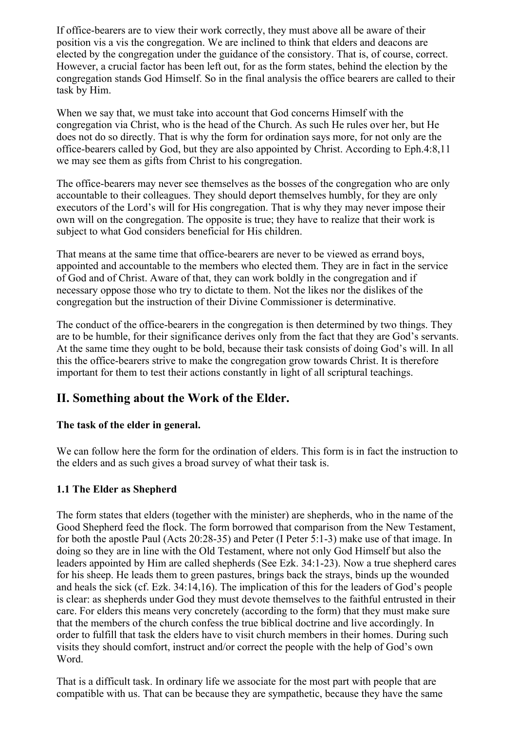If office-bearers are to view their work correctly, they must above all be aware of their position vis a vis the congregation. We are inclined to think that elders and deacons are elected by the congregation under the guidance of the consistory. That is, of course, correct. However, a crucial factor has been left out, for as the form states, behind the election by the congregation stands God Himself. So in the final analysis the office bearers are called to their task by Him.

When we say that, we must take into account that God concerns Himself with the congregation via Christ, who is the head of the Church. As such He rules over her, but He does not do so directly. That is why the form for ordination says more, for not only are the office-bearers called by God, but they are also appointed by Christ. According to Eph.4:8,11 we may see them as gifts from Christ to his congregation.

The office-bearers may never see themselves as the bosses of the congregation who are only accountable to their colleagues. They should deport themselves humbly, for they are only executors of the Lord's will for His congregation. That is why they may never impose their own will on the congregation. The opposite is true; they have to realize that their work is subject to what God considers beneficial for His children.

That means at the same time that office-bearers are never to be viewed as errand boys, appointed and accountable to the members who elected them. They are in fact in the service of God and of Christ. Aware of that, they can work boldly in the congregation and if necessary oppose those who try to dictate to them. Not the likes nor the dislikes of the congregation but the instruction of their Divine Commissioner is determinative.

The conduct of the office-bearers in the congregation is then determined by two things. They are to be humble, for their significance derives only from the fact that they are God's servants. At the same time they ought to be bold, because their task consists of doing God's will. In all this the office-bearers strive to make the congregation grow towards Christ. It is therefore important for them to test their actions constantly in light of all scriptural teachings.

## **II. Something about the Work of the Elder.**

## **The task of the elder in general.**

We can follow here the form for the ordination of elders. This form is in fact the instruction to the elders and as such gives a broad survey of what their task is.

## **1.1 The Elder as Shepherd**

The form states that elders (together with the minister) are shepherds, who in the name of the Good Shepherd feed the flock. The form borrowed that comparison from the New Testament, for both the apostle Paul (Acts 20:28-35) and Peter (I Peter 5:1-3) make use of that image. In doing so they are in line with the Old Testament, where not only God Himself but also the leaders appointed by Him are called shepherds (See Ezk. 34:1-23). Now a true shepherd cares for his sheep. He leads them to green pastures, brings back the strays, binds up the wounded and heals the sick (cf. Ezk. 34:14,16). The implication of this for the leaders of God's people is clear: as shepherds under God they must devote themselves to the faithful entrusted in their care. For elders this means very concretely (according to the form) that they must make sure that the members of the church confess the true biblical doctrine and live accordingly. In order to fulfill that task the elders have to visit church members in their homes. During such visits they should comfort, instruct and/or correct the people with the help of God's own Word.

That is a difficult task. In ordinary life we associate for the most part with people that are compatible with us. That can be because they are sympathetic, because they have the same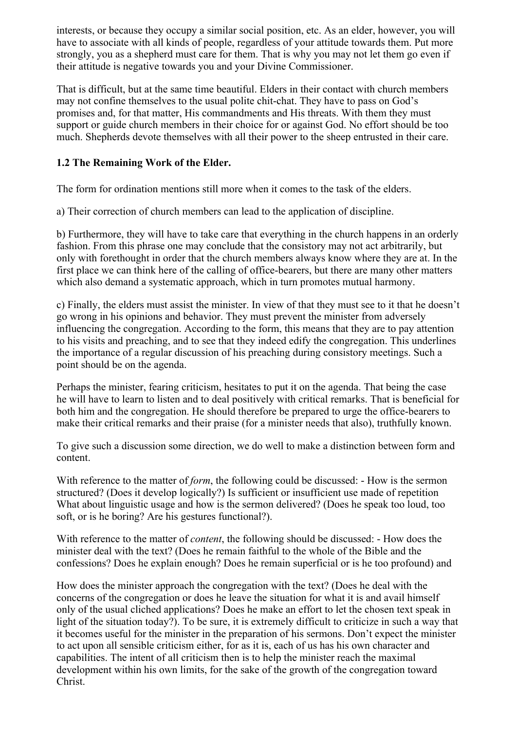interests, or because they occupy a similar social position, etc. As an elder, however, you will have to associate with all kinds of people, regardless of your attitude towards them. Put more strongly, you as a shepherd must care for them. That is why you may not let them go even if their attitude is negative towards you and your Divine Commissioner.

That is difficult, but at the same time beautiful. Elders in their contact with church members may not confine themselves to the usual polite chit-chat. They have to pass on God's promises and, for that matter, His commandments and His threats. With them they must support or guide church members in their choice for or against God. No effort should be too much. Shepherds devote themselves with all their power to the sheep entrusted in their care.

## **1.2 The Remaining Work of the Elder.**

The form for ordination mentions still more when it comes to the task of the elders.

a) Their correction of church members can lead to the application of discipline.

b) Furthermore, they will have to take care that everything in the church happens in an orderly fashion. From this phrase one may conclude that the consistory may not act arbitrarily, but only with forethought in order that the church members always know where they are at. In the first place we can think here of the calling of office-bearers, but there are many other matters which also demand a systematic approach, which in turn promotes mutual harmony.

c) Finally, the elders must assist the minister. In view of that they must see to it that he doesn't go wrong in his opinions and behavior. They must prevent the minister from adversely influencing the congregation. According to the form, this means that they are to pay attention to his visits and preaching, and to see that they indeed edify the congregation. This underlines the importance of a regular discussion of his preaching during consistory meetings. Such a point should be on the agenda.

Perhaps the minister, fearing criticism, hesitates to put it on the agenda. That being the case he will have to learn to listen and to deal positively with critical remarks. That is beneficial for both him and the congregation. He should therefore be prepared to urge the office-bearers to make their critical remarks and their praise (for a minister needs that also), truthfully known.

To give such a discussion some direction, we do well to make a distinction between form and content.

With reference to the matter of *form*, the following could be discussed: - How is the sermon structured? (Does it develop logically?) Is sufficient or insufficient use made of repetition What about linguistic usage and how is the sermon delivered? (Does he speak too loud, too soft, or is he boring? Are his gestures functional?).

With reference to the matter of *content*, the following should be discussed: - How does the minister deal with the text? (Does he remain faithful to the whole of the Bible and the confessions? Does he explain enough? Does he remain superficial or is he too profound) and

How does the minister approach the congregation with the text? (Does he deal with the concerns of the congregation or does he leave the situation for what it is and avail himself only of the usual cliched applications? Does he make an effort to let the chosen text speak in light of the situation today?). To be sure, it is extremely difficult to criticize in such a way that it becomes useful for the minister in the preparation of his sermons. Don't expect the minister to act upon all sensible criticism either, for as it is, each of us has his own character and capabilities. The intent of all criticism then is to help the minister reach the maximal development within his own limits, for the sake of the growth of the congregation toward Christ.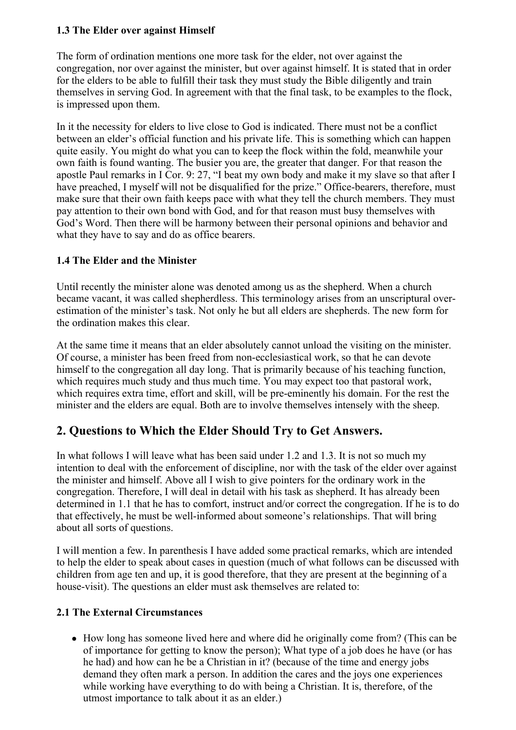## **1.3 The Elder over against Himself**

The form of ordination mentions one more task for the elder, not over against the congregation, nor over against the minister, but over against himself. It is stated that in order for the elders to be able to fulfill their task they must study the Bible diligently and train themselves in serving God. In agreement with that the final task, to be examples to the flock, is impressed upon them.

In it the necessity for elders to live close to God is indicated. There must not be a conflict between an elder's official function and his private life. This is something which can happen quite easily. You might do what you can to keep the flock within the fold, meanwhile your own faith is found wanting. The busier you are, the greater that danger. For that reason the apostle Paul remarks in I Cor. 9: 27, "I beat my own body and make it my slave so that after I have preached, I myself will not be disqualified for the prize." Office-bearers, therefore, must make sure that their own faith keeps pace with what they tell the church members. They must pay attention to their own bond with God, and for that reason must busy themselves with God's Word. Then there will be harmony between their personal opinions and behavior and what they have to say and do as office bearers.

#### **1.4 The Elder and the Minister**

Until recently the minister alone was denoted among us as the shepherd. When a church became vacant, it was called shepherdless. This terminology arises from an unscriptural overestimation of the minister's task. Not only he but all elders are shepherds. The new form for the ordination makes this clear.

At the same time it means that an elder absolutely cannot unload the visiting on the minister. Of course, a minister has been freed from non-ecclesiastical work, so that he can devote himself to the congregation all day long. That is primarily because of his teaching function, which requires much study and thus much time. You may expect too that pastoral work, which requires extra time, effort and skill, will be pre-eminently his domain. For the rest the minister and the elders are equal. Both are to involve themselves intensely with the sheep.

# **2. Questions to Which the Elder Should Try to Get Answers.**

In what follows I will leave what has been said under 1.2 and 1.3. It is not so much my intention to deal with the enforcement of discipline, nor with the task of the elder over against the minister and himself. Above all I wish to give pointers for the ordinary work in the congregation. Therefore, I will deal in detail with his task as shepherd. It has already been determined in 1.1 that he has to comfort, instruct and/or correct the congregation. If he is to do that effectively, he must be well-informed about someone's relationships. That will bring about all sorts of questions.

I will mention a few. In parenthesis I have added some practical remarks, which are intended to help the elder to speak about cases in question (much of what follows can be discussed with children from age ten and up, it is good therefore, that they are present at the beginning of a house-visit). The questions an elder must ask themselves are related to:

## **2.1 The External Circumstances**

How long has someone lived here and where did he originally come from? (This can be of importance for getting to know the person); What type of a job does he have (or has he had) and how can he be a Christian in it? (because of the time and energy jobs demand they often mark a person. In addition the cares and the joys one experiences while working have everything to do with being a Christian. It is, therefore, of the utmost importance to talk about it as an elder.)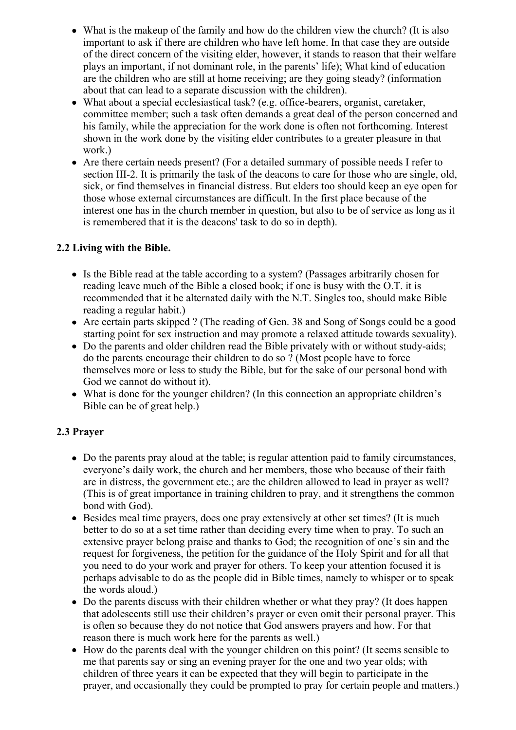- What is the makeup of the family and how do the children view the church? (It is also important to ask if there are children who have left home. In that case they are outside of the direct concern of the visiting elder, however, it stands to reason that their welfare plays an important, if not dominant role, in the parents' life); What kind of education are the children who are still at home receiving; are they going steady? (information about that can lead to a separate discussion with the children).
- What about a special ecclesiastical task? (e.g. office-bearers, organist, caretaker, committee member; such a task often demands a great deal of the person concerned and his family, while the appreciation for the work done is often not forthcoming. Interest shown in the work done by the visiting elder contributes to a greater pleasure in that work.)
- Are there certain needs present? (For a detailed summary of possible needs I refer to section III-2. It is primarily the task of the deacons to care for those who are single, old, sick, or find themselves in financial distress. But elders too should keep an eye open for those whose external circumstances are difficult. In the first place because of the interest one has in the church member in question, but also to be of service as long as it is remembered that it is the deacons' task to do so in depth).

## **2.2 Living with the Bible.**

- Is the Bible read at the table according to a system? (Passages arbitrarily chosen for reading leave much of the Bible a closed book; if one is busy with the O.T. it is recommended that it be alternated daily with the N.T. Singles too, should make Bible reading a regular habit.)
- Are certain parts skipped ? (The reading of Gen. 38 and Song of Songs could be a good starting point for sex instruction and may promote a relaxed attitude towards sexuality).
- Do the parents and older children read the Bible privately with or without study-aids; do the parents encourage their children to do so ? (Most people have to force themselves more or less to study the Bible, but for the sake of our personal bond with God we cannot do without it).
- What is done for the younger children? (In this connection an appropriate children's Bible can be of great help.)

## **2.3 Prayer**

- Do the parents pray aloud at the table; is regular attention paid to family circumstances, everyone's daily work, the church and her members, those who because of their faith are in distress, the government etc.; are the children allowed to lead in prayer as well? (This is of great importance in training children to pray, and it strengthens the common bond with God).
- Besides meal time prayers, does one pray extensively at other set times? (It is much better to do so at a set time rather than deciding every time when to pray. To such an extensive prayer belong praise and thanks to God; the recognition of one's sin and the request for forgiveness, the petition for the guidance of the Holy Spirit and for all that you need to do your work and prayer for others. To keep your attention focused it is perhaps advisable to do as the people did in Bible times, namely to whisper or to speak the words aloud.)
- Do the parents discuss with their children whether or what they pray? (It does happen that adolescents still use their children's prayer or even omit their personal prayer. This is often so because they do not notice that God answers prayers and how. For that reason there is much work here for the parents as well.)
- How do the parents deal with the younger children on this point? (It seems sensible to me that parents say or sing an evening prayer for the one and two year olds; with children of three years it can be expected that they will begin to participate in the prayer, and occasionally they could be prompted to pray for certain people and matters.)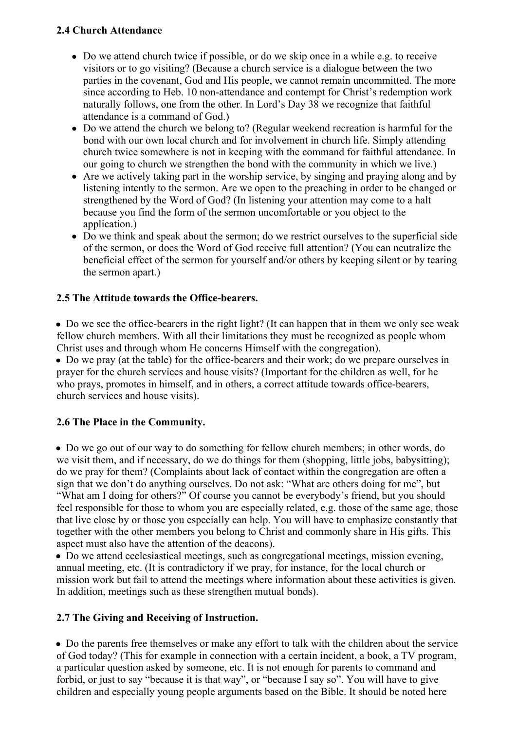## **2.4 Church Attendance**

- Do we attend church twice if possible, or do we skip once in a while e.g. to receive visitors or to go visiting? (Because a church service is a dialogue between the two parties in the covenant, God and His people, we cannot remain uncommitted. The more since according to Heb. 10 non-attendance and contempt for Christ's redemption work naturally follows, one from the other. In Lord's Day 38 we recognize that faithful attendance is a command of God.)
- Do we attend the church we belong to? (Regular weekend recreation is harmful for the bond with our own local church and for involvement in church life. Simply attending church twice somewhere is not in keeping with the command for faithful attendance. In our going to church we strengthen the bond with the community in which we live.)
- Are we actively taking part in the worship service, by singing and praying along and by listening intently to the sermon. Are we open to the preaching in order to be changed or strengthened by the Word of God? (In listening your attention may come to a halt because you find the form of the sermon uncomfortable or you object to the application.)
- Do we think and speak about the sermon; do we restrict ourselves to the superficial side of the sermon, or does the Word of God receive full attention? (You can neutralize the beneficial effect of the sermon for yourself and/or others by keeping silent or by tearing the sermon apart.)

## **2.5 The Attitude towards the Office-bearers.**

Do we see the office-bearers in the right light? (It can happen that in them we only see weak fellow church members. With all their limitations they must be recognized as people whom Christ uses and through whom He concerns Himself with the congregation).

Do we pray (at the table) for the office-bearers and their work; do we prepare ourselves in prayer for the church services and house visits? (Important for the children as well, for he who prays, promotes in himself, and in others, a correct attitude towards office-bearers, church services and house visits).

## **2.6 The Place in the Community.**

Do we go out of our way to do something for fellow church members; in other words, do we visit them, and if necessary, do we do things for them (shopping, little jobs, babysitting); do we pray for them? (Complaints about lack of contact within the congregation are often a sign that we don't do anything ourselves. Do not ask: "What are others doing for me", but "What am I doing for others?" Of course you cannot be everybody's friend, but you should feel responsible for those to whom you are especially related, e.g. those of the same age, those that live close by or those you especially can help. You will have to emphasize constantly that together with the other members you belong to Christ and commonly share in His gifts. This aspect must also have the attention of the deacons).

Do we attend ecclesiastical meetings, such as congregational meetings, mission evening, annual meeting, etc. (It is contradictory if we pray, for instance, for the local church or mission work but fail to attend the meetings where information about these activities is given. In addition, meetings such as these strengthen mutual bonds).

## **2.7 The Giving and Receiving of Instruction.**

Do the parents free themselves or make any effort to talk with the children about the service of God today? (This for example in connection with a certain incident, a book, a TV program, a particular question asked by someone, etc. It is not enough for parents to command and forbid, or just to say "because it is that way", or "because I say so". You will have to give children and especially young people arguments based on the Bible. It should be noted here